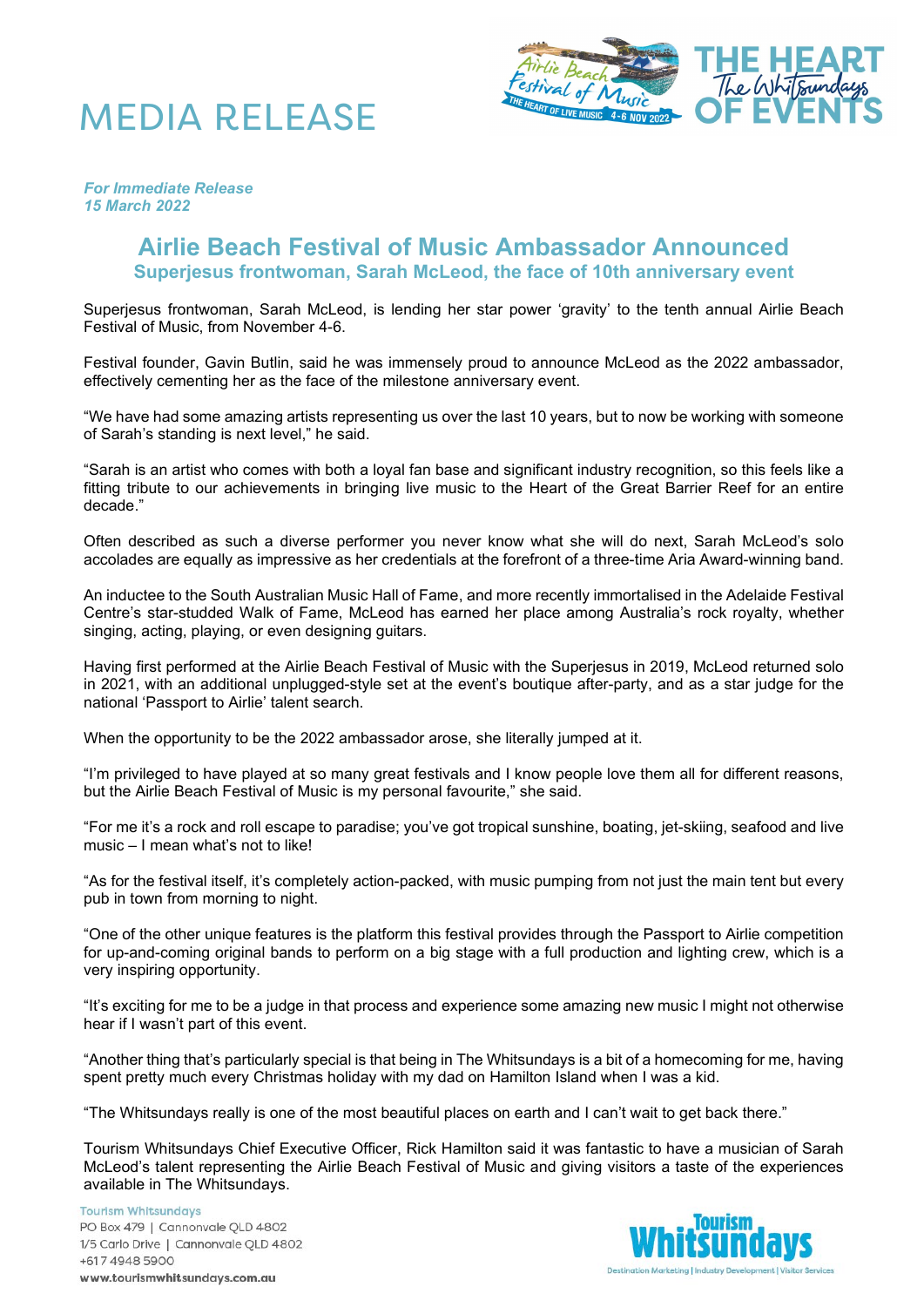



*For Immediate Release 15 March 2022*

## **Airlie Beach Festival of Music Ambassador Announced Superjesus frontwoman, Sarah McLeod, the face of 10th anniversary event**

Superjesus frontwoman, Sarah McLeod, is lending her star power 'gravity' to the tenth annual Airlie Beach Festival of Music, from November 4-6.

Festival founder, Gavin Butlin, said he was immensely proud to announce McLeod as the 2022 ambassador, effectively cementing her as the face of the milestone anniversary event.

"We have had some amazing artists representing us over the last 10 years, but to now be working with someone of Sarah's standing is next level," he said.

"Sarah is an artist who comes with both a loyal fan base and significant industry recognition, so this feels like a fitting tribute to our achievements in bringing live music to the Heart of the Great Barrier Reef for an entire decade."

Often described as such a diverse performer you never know what she will do next, Sarah McLeod's solo accolades are equally as impressive as her credentials at the forefront of a three-time Aria Award-winning band.

An inductee to the South Australian Music Hall of Fame, and more recently immortalised in the Adelaide Festival Centre's star-studded Walk of Fame, McLeod has earned her place among Australia's rock royalty, whether singing, acting, playing, or even designing guitars.

Having first performed at the Airlie Beach Festival of Music with the Superjesus in 2019, McLeod returned solo in 2021, with an additional unplugged-style set at the event's boutique after-party, and as a star judge for the national 'Passport to Airlie' talent search.

When the opportunity to be the 2022 ambassador arose, she literally jumped at it.

"I'm privileged to have played at so many great festivals and I know people love them all for different reasons, but the Airlie Beach Festival of Music is my personal favourite," she said.

"For me it's a rock and roll escape to paradise; you've got tropical sunshine, boating, jet-skiing, seafood and live music – I mean what's not to like!

"As for the festival itself, it's completely action-packed, with music pumping from not just the main tent but every pub in town from morning to night.

"One of the other unique features is the platform this festival provides through the Passport to Airlie competition for up-and-coming original bands to perform on a big stage with a full production and lighting crew, which is a very inspiring opportunity.

"It's exciting for me to be a judge in that process and experience some amazing new music I might not otherwise hear if I wasn't part of this event.

"Another thing that's particularly special is that being in The Whitsundays is a bit of a homecoming for me, having spent pretty much every Christmas holiday with my dad on Hamilton Island when I was a kid.

"The Whitsundays really is one of the most beautiful places on earth and I can't wait to get back there."

Tourism Whitsundays Chief Executive Officer, Rick Hamilton said it was fantastic to have a musician of Sarah McLeod's talent representing the Airlie Beach Festival of Music and giving visitors a taste of the experiences available in The Whitsundays.

**Tourism Whitsundays** PO Box 479 | Cannonvale QLD 4802 1/5 Carlo Drive | Cannonvale QLD 4802 +617 4948 5900 www.tourismwhitsundays.com.au